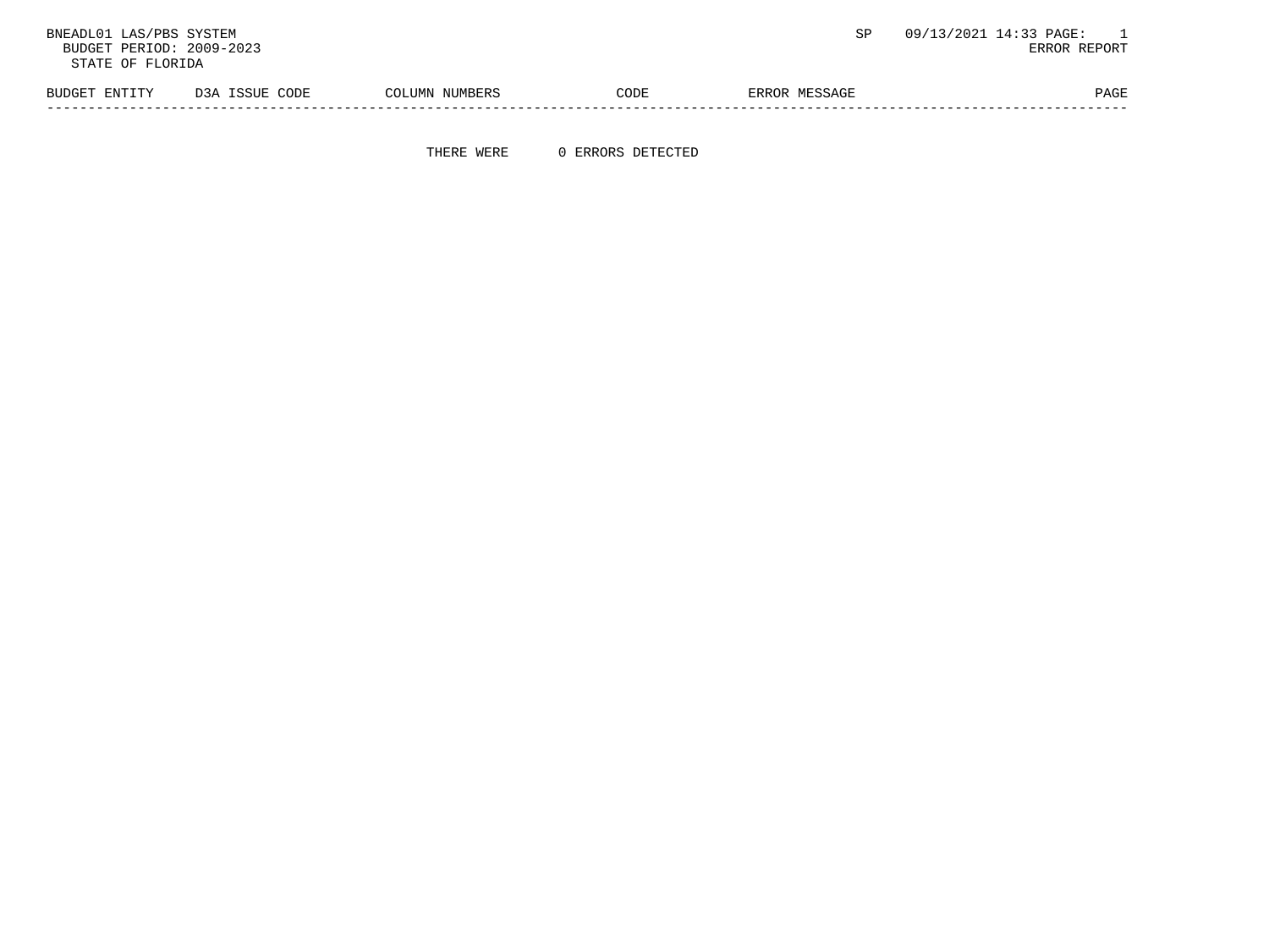BNEADL01 LAS/PBS SYSTEM  $\texttt{S}\texttt{P}$  and  $\texttt{S}\texttt{P}$  and  $\texttt{S}\texttt{P}$  and  $\texttt{S}\texttt{P}$  and  $\texttt{S}\texttt{P}$  and  $\texttt{S}\texttt{P}$  and  $\texttt{S}\texttt{P}$  and  $\texttt{S}\texttt{P}$  and  $\texttt{S}\texttt{P}$  and  $\texttt{S}\texttt{P}$  and  $\texttt{S}\texttt{P}$  and BUDGET PERIOD: 2009-2023 STATE OF FLORIDA BUDGET ENTITY D3A ISSUE CODE COLUMN NUMBERS CODE ERROR MESSAGE PAGE PAGE -----------------------------------------------------------------------------------------------------------------------------------

THERE WERE 0 ERRORS DETECTED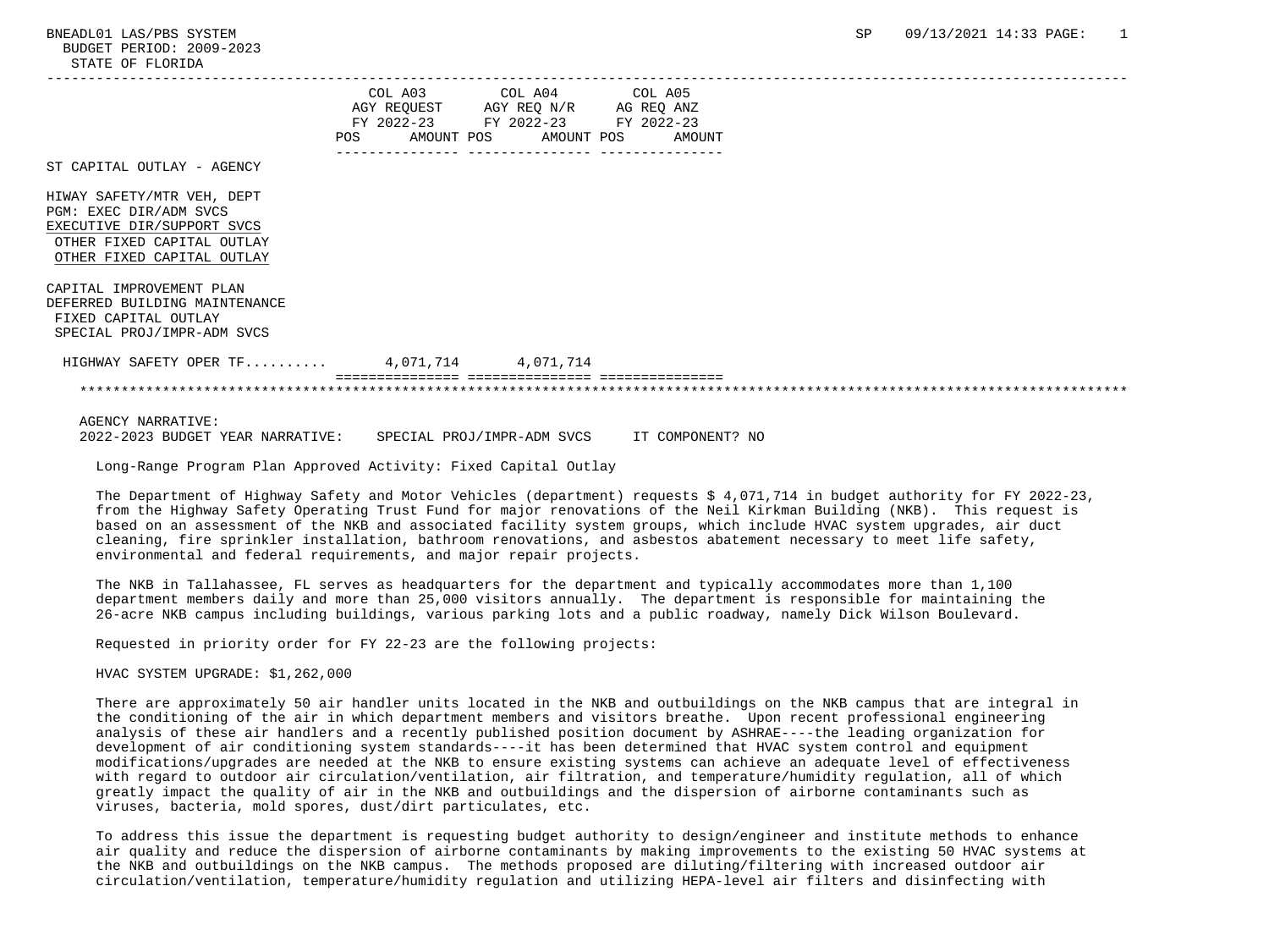|                                                                                                                                                |  | COL A03 COL A04 COL A05<br>AGY REQUEST AGY REQ N/R AG REQ ANZ<br>FY 2022-23 FY 2022-23 FY 2022-23<br>POS AMOUNT POS AMOUNT POS AMOUNT |  |  |  |  |
|------------------------------------------------------------------------------------------------------------------------------------------------|--|---------------------------------------------------------------------------------------------------------------------------------------|--|--|--|--|
| ST CAPITAL OUTLAY - AGENCY                                                                                                                     |  |                                                                                                                                       |  |  |  |  |
| HIWAY SAFETY/MTR VEH, DEPT<br>PGM: EXEC DIR/ADM SVCS<br>EXECUTIVE DIR/SUPPORT SVCS<br>OTHER FIXED CAPITAL OUTLAY<br>OTHER FIXED CAPITAL OUTLAY |  |                                                                                                                                       |  |  |  |  |
| CAPITAL IMPROVEMENT PLAN<br>DEFERRED BUILDING MAINTENANCE<br>FIXED CAPITAL OUTLAY<br>SPECIAL PROJ/IMPR-ADM SVCS                                |  |                                                                                                                                       |  |  |  |  |
| HIGHWAY SAFETY OPER TF 4,071,714 4,071,714                                                                                                     |  |                                                                                                                                       |  |  |  |  |
|                                                                                                                                                |  |                                                                                                                                       |  |  |  |  |
| <b>AGENCY NARRATIVE:</b>                                                                                                                       |  |                                                                                                                                       |  |  |  |  |

2022-2023 BUDGET YEAR NARRATIVE: SPECIAL PROJ/IMPR-ADM SVCS IT COMPONENT? NO

Long-Range Program Plan Approved Activity: Fixed Capital Outlay

 The Department of Highway Safety and Motor Vehicles (department) requests \$ 4,071,714 in budget authority for FY 2022-23, from the Highway Safety Operating Trust Fund for major renovations of the Neil Kirkman Building (NKB). This request is based on an assessment of the NKB and associated facility system groups, which include HVAC system upgrades, air duct cleaning, fire sprinkler installation, bathroom renovations, and asbestos abatement necessary to meet life safety, environmental and federal requirements, and major repair projects.

 The NKB in Tallahassee, FL serves as headquarters for the department and typically accommodates more than 1,100 department members daily and more than 25,000 visitors annually. The department is responsible for maintaining the 26-acre NKB campus including buildings, various parking lots and a public roadway, namely Dick Wilson Boulevard.

Requested in priority order for FY 22-23 are the following projects:

HVAC SYSTEM UPGRADE: \$1,262,000

 There are approximately 50 air handler units located in the NKB and outbuildings on the NKB campus that are integral in the conditioning of the air in which department members and visitors breathe. Upon recent professional engineering analysis of these air handlers and a recently published position document by ASHRAE----the leading organization for development of air conditioning system standards----it has been determined that HVAC system control and equipment modifications/upgrades are needed at the NKB to ensure existing systems can achieve an adequate level of effectiveness with regard to outdoor air circulation/ventilation, air filtration, and temperature/humidity regulation, all of which greatly impact the quality of air in the NKB and outbuildings and the dispersion of airborne contaminants such as viruses, bacteria, mold spores, dust/dirt particulates, etc.

 To address this issue the department is requesting budget authority to design/engineer and institute methods to enhance air quality and reduce the dispersion of airborne contaminants by making improvements to the existing 50 HVAC systems at the NKB and outbuildings on the NKB campus. The methods proposed are diluting/filtering with increased outdoor air circulation/ventilation, temperature/humidity regulation and utilizing HEPA-level air filters and disinfecting with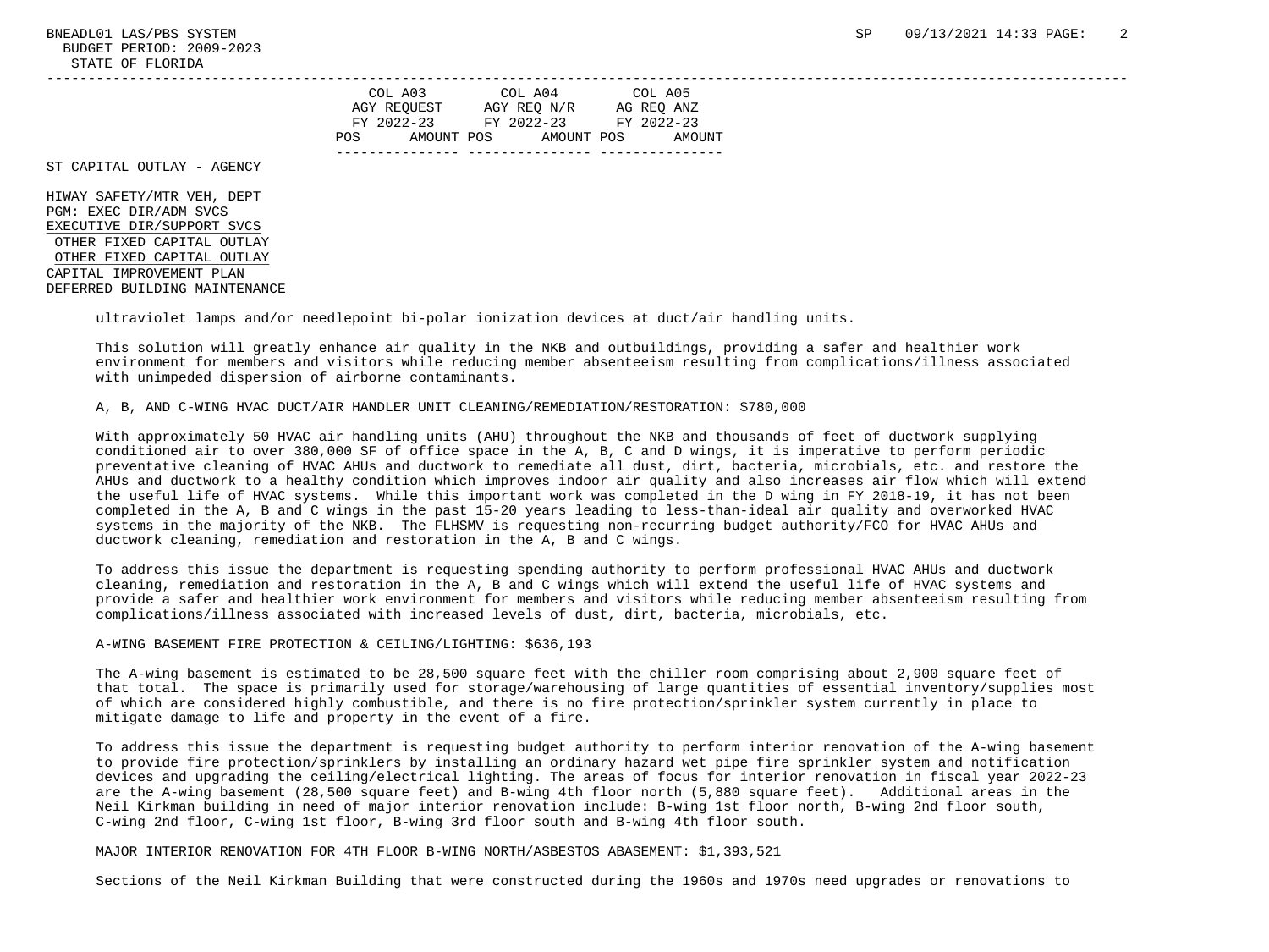| COL A03<br>AGY REOUEST          | COL A04<br>AGY REO N/R   | COL A05<br>AG REO ANZ |
|---------------------------------|--------------------------|-----------------------|
| FY 2022-23<br>POS<br>AMOUNT POS | FY 2022-23<br>AMOUNT POS | FY 2022-23<br>AMOUNT  |
|                                 |                          |                       |

ST CAPITAL OUTLAY - AGENCY

 HIWAY SAFETY/MTR VEH, DEPT PGM: EXEC DIR/ADM SVCS EXECUTIVE DIR/SUPPORT SVCS OTHER FIXED CAPITAL OUTLAY OTHER FIXED CAPITAL OUTLAY CAPITAL IMPROVEMENT PLAN DEFERRED BUILDING MAINTENANCE

ultraviolet lamps and/or needlepoint bi-polar ionization devices at duct/air handling units.

 This solution will greatly enhance air quality in the NKB and outbuildings, providing a safer and healthier work environment for members and visitors while reducing member absenteeism resulting from complications/illness associated with unimpeded dispersion of airborne contaminants.

-----------------------------------------------------------------------------------------------------------------------------------

## A, B, AND C-WING HVAC DUCT/AIR HANDLER UNIT CLEANING/REMEDIATION/RESTORATION: \$780,000

 With approximately 50 HVAC air handling units (AHU) throughout the NKB and thousands of feet of ductwork supplying conditioned air to over 380,000 SF of office space in the A, B, C and D wings, it is imperative to perform periodic preventative cleaning of HVAC AHUs and ductwork to remediate all dust, dirt, bacteria, microbials, etc. and restore the AHUs and ductwork to a healthy condition which improves indoor air quality and also increases air flow which will extend the useful life of HVAC systems. While this important work was completed in the D wing in FY 2018-19, it has not been completed in the A, B and C wings in the past 15-20 years leading to less-than-ideal air quality and overworked HVAC systems in the majority of the NKB. The FLHSMV is requesting non-recurring budget authority/FCO for HVAC AHUs and ductwork cleaning, remediation and restoration in the A, B and C wings.

 To address this issue the department is requesting spending authority to perform professional HVAC AHUs and ductwork cleaning, remediation and restoration in the A, B and C wings which will extend the useful life of HVAC systems and provide a safer and healthier work environment for members and visitors while reducing member absenteeism resulting from complications/illness associated with increased levels of dust, dirt, bacteria, microbials, etc.

## A-WING BASEMENT FIRE PROTECTION & CEILING/LIGHTING: \$636,193

 The A-wing basement is estimated to be 28,500 square feet with the chiller room comprising about 2,900 square feet of that total. The space is primarily used for storage/warehousing of large quantities of essential inventory/supplies most of which are considered highly combustible, and there is no fire protection/sprinkler system currently in place to mitigate damage to life and property in the event of a fire.

 To address this issue the department is requesting budget authority to perform interior renovation of the A-wing basement to provide fire protection/sprinklers by installing an ordinary hazard wet pipe fire sprinkler system and notification devices and upgrading the ceiling/electrical lighting. The areas of focus for interior renovation in fiscal year 2022-23 are the A-wing basement (28,500 square feet) and B-wing 4th floor north (5,880 square feet). Additional areas in the Neil Kirkman building in need of major interior renovation include: B-wing 1st floor north, B-wing 2nd floor south, C-wing 2nd floor, C-wing 1st floor, B-wing 3rd floor south and B-wing 4th floor south.

## MAJOR INTERIOR RENOVATION FOR 4TH FLOOR B-WING NORTH/ASBESTOS ABASEMENT: \$1,393,521

Sections of the Neil Kirkman Building that were constructed during the 1960s and 1970s need upgrades or renovations to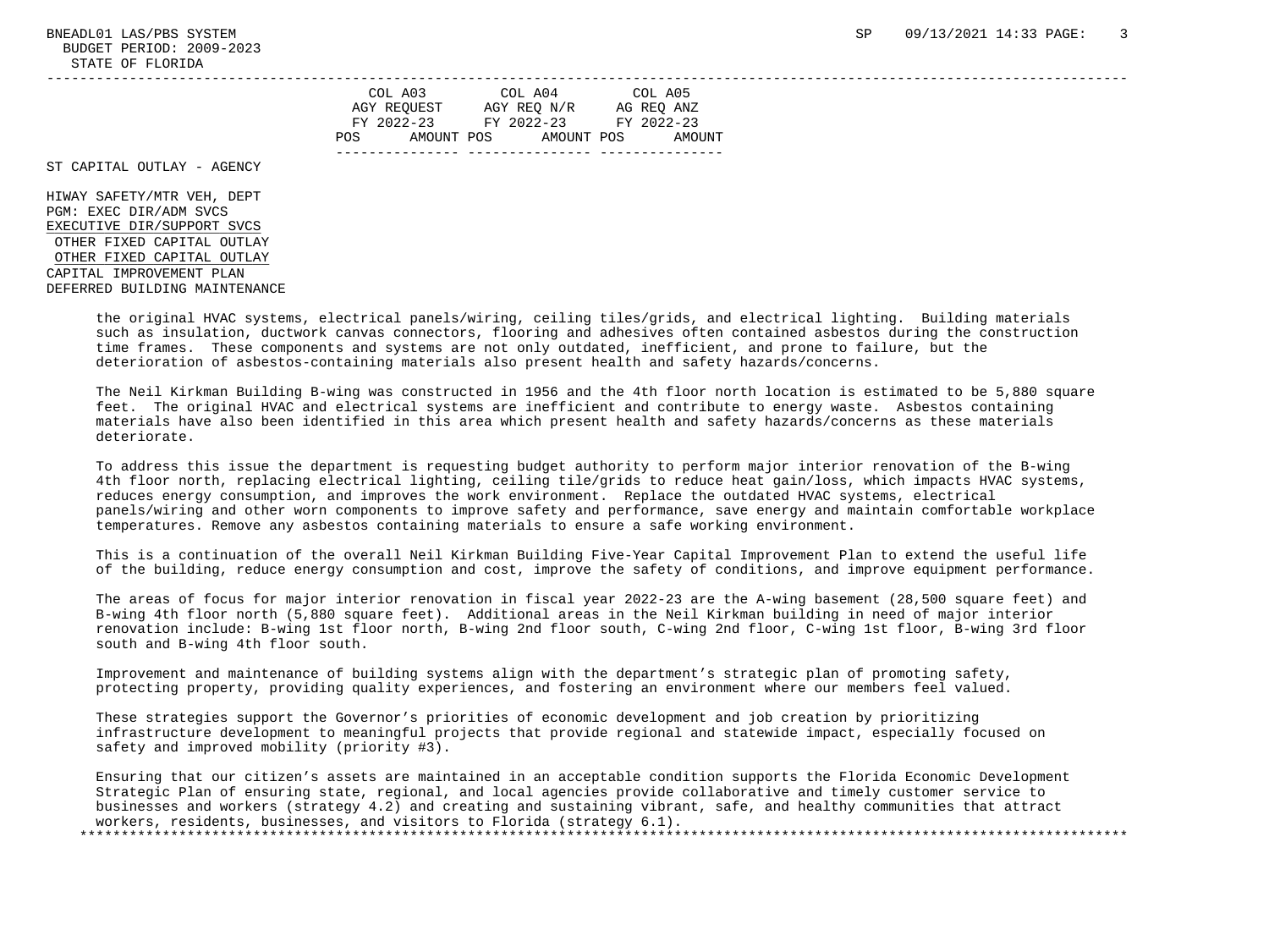BUDGET PERIOD: 2009-2023 STATE OF FLORIDA

|      | COL A03     | COL A04     | COL A05    |
|------|-------------|-------------|------------|
|      | AGY REOUEST | AGY REQ N/R | AG REO ANZ |
|      | FY 2022-23  | FY 2022-23  | FY 2022-23 |
| POS. | AMOUNT POS  | AMOUNT POS  | AMOUNT     |
|      |             |             |            |

ST CAPITAL OUTLAY - AGENCY

 HIWAY SAFETY/MTR VEH, DEPT PGM: EXEC DIR/ADM SVCS EXECUTIVE DIR/SUPPORT SVCS OTHER FIXED CAPITAL OUTLAY OTHER FIXED CAPITAL OUTLAY CAPITAL IMPROVEMENT PLAN DEFERRED BUILDING MAINTENANCE

> the original HVAC systems, electrical panels/wiring, ceiling tiles/grids, and electrical lighting. Building materials such as insulation, ductwork canvas connectors, flooring and adhesives often contained asbestos during the construction time frames. These components and systems are not only outdated, inefficient, and prone to failure, but the deterioration of asbestos-containing materials also present health and safety hazards/concerns.

 The Neil Kirkman Building B-wing was constructed in 1956 and the 4th floor north location is estimated to be 5,880 square feet. The original HVAC and electrical systems are inefficient and contribute to energy waste. Asbestos containing materials have also been identified in this area which present health and safety hazards/concerns as these materials deteriorate.

 To address this issue the department is requesting budget authority to perform major interior renovation of the B-wing 4th floor north, replacing electrical lighting, ceiling tile/grids to reduce heat gain/loss, which impacts HVAC systems, reduces energy consumption, and improves the work environment. Replace the outdated HVAC systems, electrical panels/wiring and other worn components to improve safety and performance, save energy and maintain comfortable workplace temperatures. Remove any asbestos containing materials to ensure a safe working environment.

 This is a continuation of the overall Neil Kirkman Building Five-Year Capital Improvement Plan to extend the useful life of the building, reduce energy consumption and cost, improve the safety of conditions, and improve equipment performance.

 The areas of focus for major interior renovation in fiscal year 2022-23 are the A-wing basement (28,500 square feet) and B-wing 4th floor north (5,880 square feet). Additional areas in the Neil Kirkman building in need of major interior renovation include: B-wing 1st floor north, B-wing 2nd floor south, C-wing 2nd floor, C-wing 1st floor, B-wing 3rd floor south and B-wing 4th floor south.

 Improvement and maintenance of building systems align with the department's strategic plan of promoting safety, protecting property, providing quality experiences, and fostering an environment where our members feel valued.

 These strategies support the Governor's priorities of economic development and job creation by prioritizing infrastructure development to meaningful projects that provide regional and statewide impact, especially focused on safety and improved mobility (priority #3).

 Ensuring that our citizen's assets are maintained in an acceptable condition supports the Florida Economic Development Strategic Plan of ensuring state, regional, and local agencies provide collaborative and timely customer service to businesses and workers (strategy 4.2) and creating and sustaining vibrant, safe, and healthy communities that attract workers, residents, businesses, and visitors to Florida (strategy 6.1). \*\*\*\*\*\*\*\*\*\*\*\*\*\*\*\*\*\*\*\*\*\*\*\*\*\*\*\*\*\*\*\*\*\*\*\*\*\*\*\*\*\*\*\*\*\*\*\*\*\*\*\*\*\*\*\*\*\*\*\*\*\*\*\*\*\*\*\*\*\*\*\*\*\*\*\*\*\*\*\*\*\*\*\*\*\*\*\*\*\*\*\*\*\*\*\*\*\*\*\*\*\*\*\*\*\*\*\*\*\*\*\*\*\*\*\*\*\*\*\*\*\*\*\*\*\*\*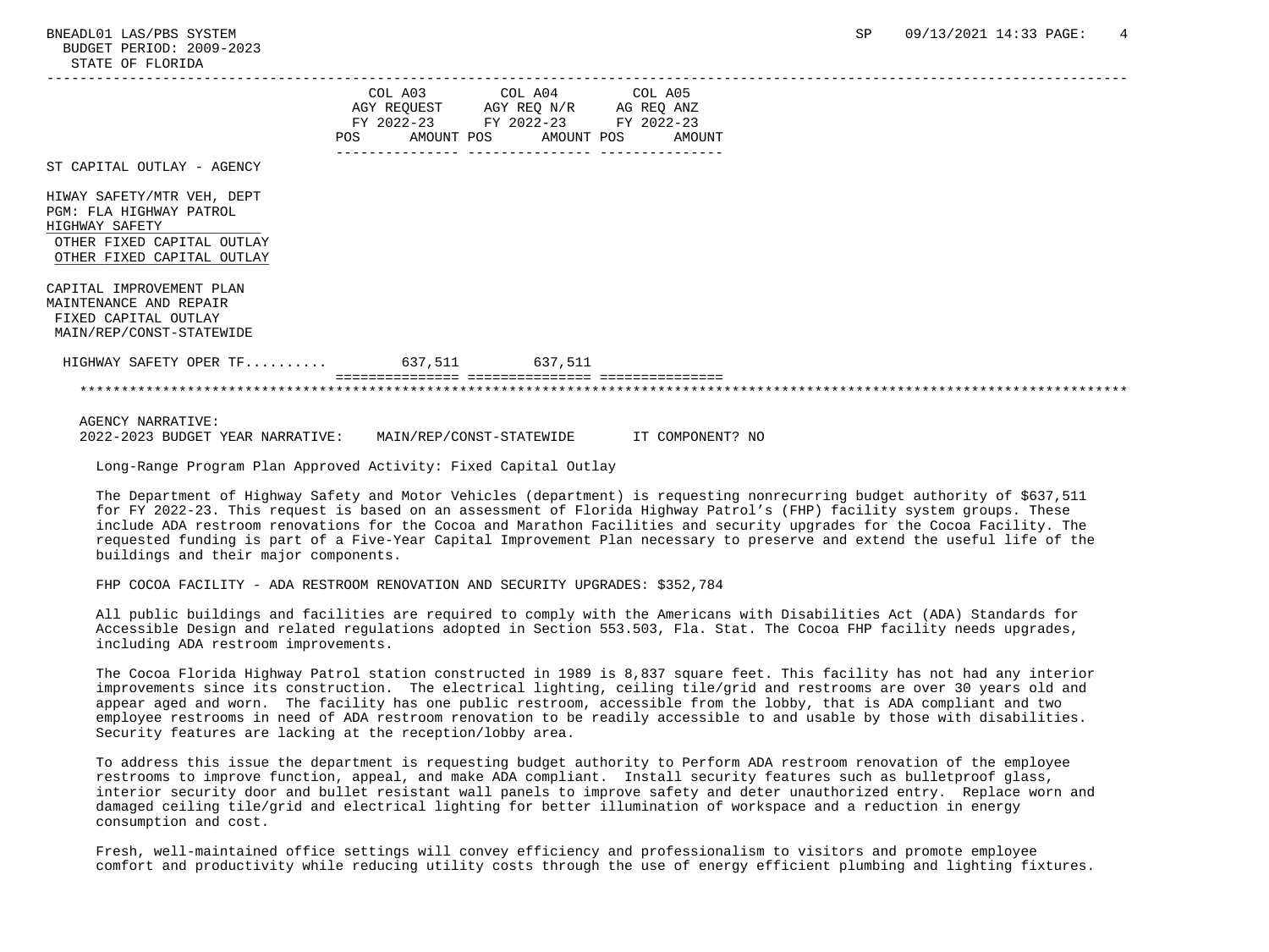|                                                                                                                                     | POS | AMOUNT POS | COL A03 COL A04 COL A05<br>AGY REQUEST AGY REQ N/R AG REQ ANZ<br>FY 2022-23 FY 2022-23 FY 2022-23<br>AMOUNT POS | AMOUNT |  |  |  |
|-------------------------------------------------------------------------------------------------------------------------------------|-----|------------|-----------------------------------------------------------------------------------------------------------------|--------|--|--|--|
| ST CAPITAL OUTLAY - AGENCY                                                                                                          |     |            |                                                                                                                 |        |  |  |  |
| HIWAY SAFETY/MTR VEH, DEPT<br>PGM: FLA HIGHWAY PATROL<br>HIGHWAY SAFETY<br>OTHER FIXED CAPITAL OUTLAY<br>OTHER FIXED CAPITAL OUTLAY |     |            |                                                                                                                 |        |  |  |  |
| CAPITAL IMPROVEMENT PLAN<br>MAINTENANCE AND REPAIR<br>FIXED CAPITAL OUTLAY<br>MAIN/REP/CONST-STATEWIDE                              |     |            |                                                                                                                 |        |  |  |  |
| HIGHWAY SAFETY OPER TF 637,511 637,511                                                                                              |     |            |                                                                                                                 |        |  |  |  |
|                                                                                                                                     |     |            |                                                                                                                 |        |  |  |  |
| <b>AGENCY NARRATIVE:</b>                                                                                                            |     |            |                                                                                                                 |        |  |  |  |

2022-2023 BUDGET YEAR NARRATIVE: MAIN/REP/CONST-STATEWIDE IT COMPONENT? NO

Long-Range Program Plan Approved Activity: Fixed Capital Outlay

 The Department of Highway Safety and Motor Vehicles (department) is requesting nonrecurring budget authority of \$637,511 for FY 2022-23. This request is based on an assessment of Florida Highway Patrol's (FHP) facility system groups. These include ADA restroom renovations for the Cocoa and Marathon Facilities and security upgrades for the Cocoa Facility. The requested funding is part of a Five-Year Capital Improvement Plan necessary to preserve and extend the useful life of the buildings and their major components.

FHP COCOA FACILITY - ADA RESTROOM RENOVATION AND SECURITY UPGRADES: \$352,784

 All public buildings and facilities are required to comply with the Americans with Disabilities Act (ADA) Standards for Accessible Design and related regulations adopted in Section 553.503, Fla. Stat. The Cocoa FHP facility needs upgrades, including ADA restroom improvements.

 The Cocoa Florida Highway Patrol station constructed in 1989 is 8,837 square feet. This facility has not had any interior improvements since its construction. The electrical lighting, ceiling tile/grid and restrooms are over 30 years old and appear aged and worn. The facility has one public restroom, accessible from the lobby, that is ADA compliant and two employee restrooms in need of ADA restroom renovation to be readily accessible to and usable by those with disabilities. Security features are lacking at the reception/lobby area.

 To address this issue the department is requesting budget authority to Perform ADA restroom renovation of the employee restrooms to improve function, appeal, and make ADA compliant. Install security features such as bulletproof glass, interior security door and bullet resistant wall panels to improve safety and deter unauthorized entry. Replace worn and damaged ceiling tile/grid and electrical lighting for better illumination of workspace and a reduction in energy consumption and cost.

 Fresh, well-maintained office settings will convey efficiency and professionalism to visitors and promote employee comfort and productivity while reducing utility costs through the use of energy efficient plumbing and lighting fixtures.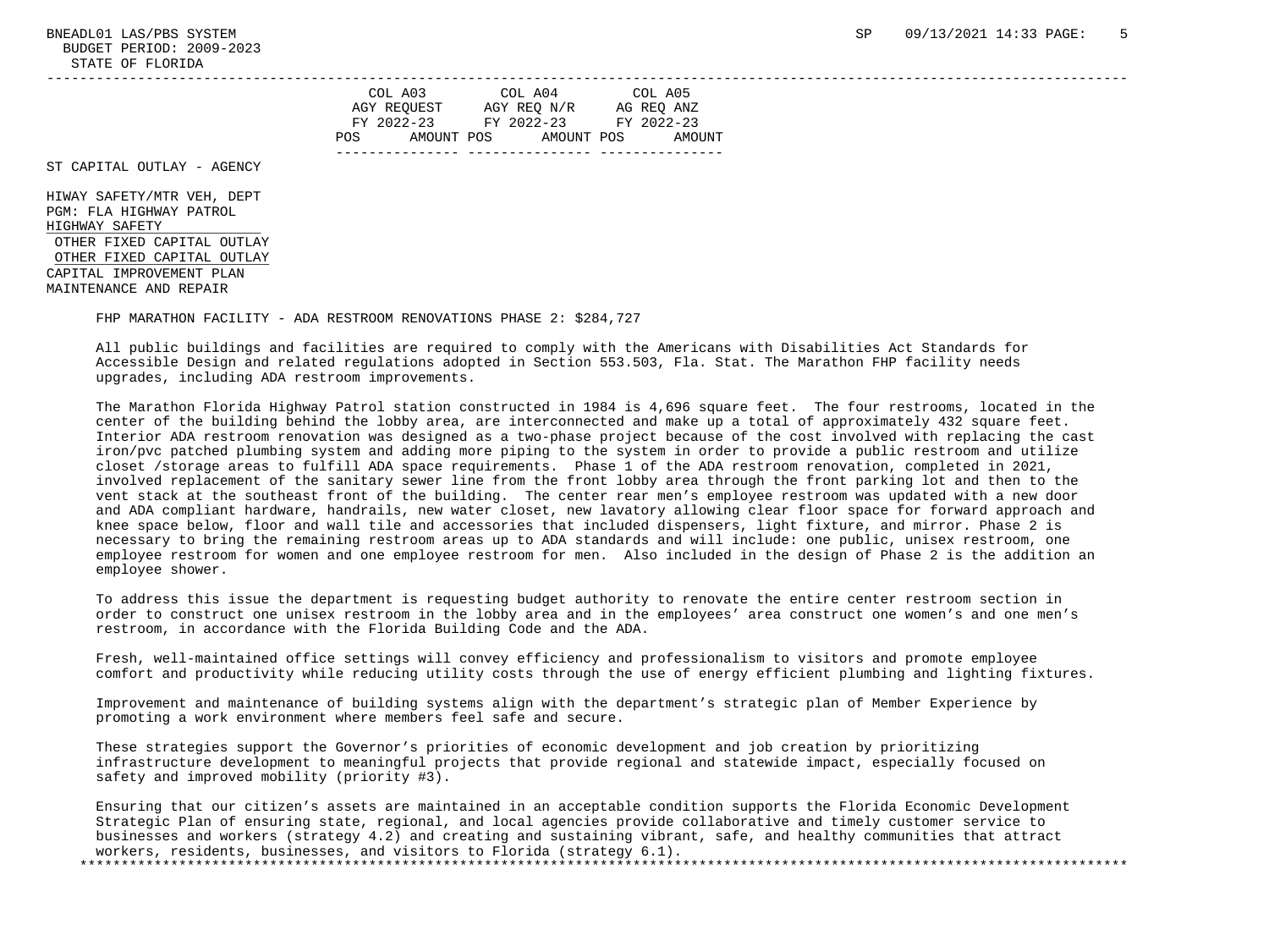BUDGET PERIOD: 2009-2023 STATE OF FLORIDA

|      | COL A03     | COL A04     | COL A05    |
|------|-------------|-------------|------------|
|      | AGY REOUEST | AGY REQ N/R | AG REO ANZ |
|      | FY 2022-23  | FY 2022-23  | FY 2022-23 |
| POS. | AMOUNT POS  | AMOUNT POS  | AMOUNT     |
|      |             |             |            |

ST CAPITAL OUTLAY - AGENCY

 HIWAY SAFETY/MTR VEH, DEPT PGM: FLA HIGHWAY PATROL HIGHWAY SAFETY \_\_\_\_\_\_\_\_\_\_\_\_\_\_\_\_\_\_\_\_\_\_\_\_\_\_ OTHER FIXED CAPITAL OUTLAY OTHER FIXED CAPITAL OUTLAY CAPITAL IMPROVEMENT PLAN MAINTENANCE AND REPAIR

FHP MARATHON FACILITY - ADA RESTROOM RENOVATIONS PHASE 2: \$284,727

 All public buildings and facilities are required to comply with the Americans with Disabilities Act Standards for Accessible Design and related regulations adopted in Section 553.503, Fla. Stat. The Marathon FHP facility needs upgrades, including ADA restroom improvements.

 The Marathon Florida Highway Patrol station constructed in 1984 is 4,696 square feet. The four restrooms, located in the center of the building behind the lobby area, are interconnected and make up a total of approximately 432 square feet. Interior ADA restroom renovation was designed as a two-phase project because of the cost involved with replacing the cast iron/pvc patched plumbing system and adding more piping to the system in order to provide a public restroom and utilize closet /storage areas to fulfill ADA space requirements. Phase 1 of the ADA restroom renovation, completed in 2021, involved replacement of the sanitary sewer line from the front lobby area through the front parking lot and then to the vent stack at the southeast front of the building. The center rear men's employee restroom was updated with a new door and ADA compliant hardware, handrails, new water closet, new lavatory allowing clear floor space for forward approach and knee space below, floor and wall tile and accessories that included dispensers, light fixture, and mirror. Phase 2 is necessary to bring the remaining restroom areas up to ADA standards and will include: one public, unisex restroom, one employee restroom for women and one employee restroom for men. Also included in the design of Phase 2 is the addition an employee shower.

 To address this issue the department is requesting budget authority to renovate the entire center restroom section in order to construct one unisex restroom in the lobby area and in the employees' area construct one women's and one men's restroom, in accordance with the Florida Building Code and the ADA.

 Fresh, well-maintained office settings will convey efficiency and professionalism to visitors and promote employee comfort and productivity while reducing utility costs through the use of energy efficient plumbing and lighting fixtures.

 Improvement and maintenance of building systems align with the department's strategic plan of Member Experience by promoting a work environment where members feel safe and secure.

 These strategies support the Governor's priorities of economic development and job creation by prioritizing infrastructure development to meaningful projects that provide regional and statewide impact, especially focused on safety and improved mobility (priority #3).

 Ensuring that our citizen's assets are maintained in an acceptable condition supports the Florida Economic Development Strategic Plan of ensuring state, regional, and local agencies provide collaborative and timely customer service to businesses and workers (strategy 4.2) and creating and sustaining vibrant, safe, and healthy communities that attract workers, residents, businesses, and visitors to Florida (strategy 6.1).

\*\*\*\*\*\*\*\*\*\*\*\*\*\*\*\*\*\*\*\*\*\*\*\*\*\*\*\*\*\*\*\*\*\*\*\*\*\*\*\*\*\*\*\*\*\*\*\*\*\*\*\*\*\*\*\*\*\*\*\*\*\*\*\*\*\*\*\*\*\*\*\*\*\*\*\*\*\*\*\*\*\*\*\*\*\*\*\*\*\*\*\*\*\*\*\*\*\*\*\*\*\*\*\*\*\*\*\*\*\*\*\*\*\*\*\*\*\*\*\*\*\*\*\*\*\*\*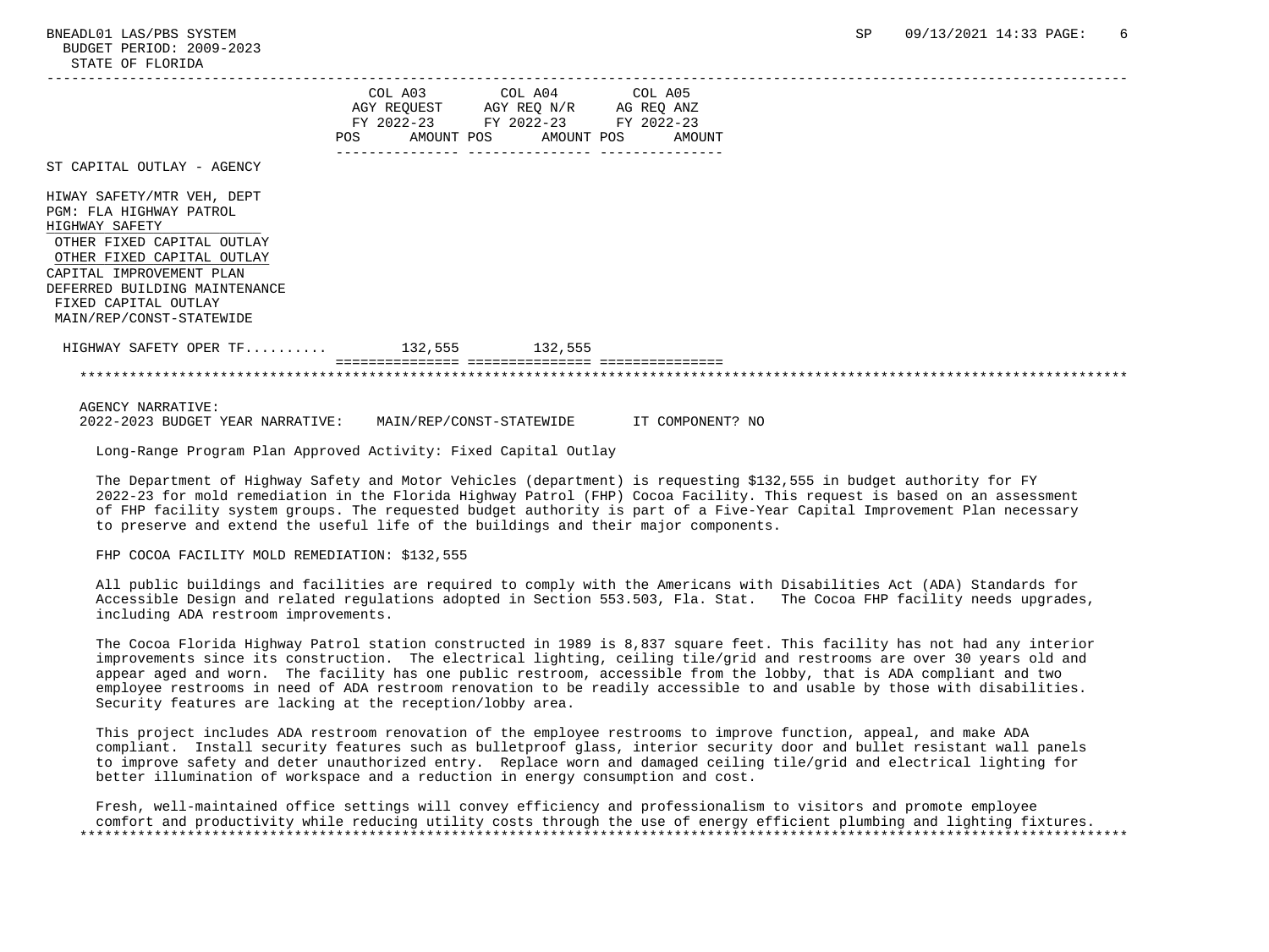|                                                                            |     | COL A03 COL A04 COL A05            |        |  |
|----------------------------------------------------------------------------|-----|------------------------------------|--------|--|
|                                                                            |     | AGY REQUEST AGY REQ N/R AG REQ ANZ |        |  |
|                                                                            |     | FY 2022-23 FY 2022-23 FY 2022-23   |        |  |
|                                                                            | POS | AMOUNT POS AMOUNT POS              | AMOUNT |  |
| ST CAPITAL OUTLAY - AGENCY                                                 |     |                                    |        |  |
| HIWAY SAFETY/MTR VEH, DEPT                                                 |     |                                    |        |  |
| PGM: FLA HIGHWAY PATROL                                                    |     |                                    |        |  |
| HIGHWAY SAFETY                                                             |     |                                    |        |  |
| OTHER FIXED CAPITAL OUTLAY                                                 |     |                                    |        |  |
| OTHER FIXED CAPITAL OUTLAY                                                 |     |                                    |        |  |
| CAPITAL IMPROVEMENT PLAN                                                   |     |                                    |        |  |
| DEFERRED BUILDING MAINTENANCE                                              |     |                                    |        |  |
| FIXED CAPITAL OUTLAY                                                       |     |                                    |        |  |
| MAIN/REP/CONST-STATEWIDE                                                   |     |                                    |        |  |
| HIGHWAY SAFETY OPER TF 132,555 132,555                                     |     |                                    |        |  |
|                                                                            |     |                                    |        |  |
| AGENCY NARRATIVE:                                                          |     |                                    |        |  |
| 2022-2023 BUDGET YEAR NARRATIVE: MAIN/REP/CONST-STATEWIDE IT COMPONENT? NO |     |                                    |        |  |

Long-Range Program Plan Approved Activity: Fixed Capital Outlay

 The Department of Highway Safety and Motor Vehicles (department) is requesting \$132,555 in budget authority for FY 2022-23 for mold remediation in the Florida Highway Patrol (FHP) Cocoa Facility. This request is based on an assessment of FHP facility system groups. The requested budget authority is part of a Five-Year Capital Improvement Plan necessary to preserve and extend the useful life of the buildings and their major components.

FHP COCOA FACILITY MOLD REMEDIATION: \$132,555

 All public buildings and facilities are required to comply with the Americans with Disabilities Act (ADA) Standards for Accessible Design and related regulations adopted in Section 553.503, Fla. Stat. The Cocoa FHP facility needs upgrades, including ADA restroom improvements.

 The Cocoa Florida Highway Patrol station constructed in 1989 is 8,837 square feet. This facility has not had any interior improvements since its construction. The electrical lighting, ceiling tile/grid and restrooms are over 30 years old and appear aged and worn. The facility has one public restroom, accessible from the lobby, that is ADA compliant and two employee restrooms in need of ADA restroom renovation to be readily accessible to and usable by those with disabilities. Security features are lacking at the reception/lobby area.

 This project includes ADA restroom renovation of the employee restrooms to improve function, appeal, and make ADA compliant. Install security features such as bulletproof glass, interior security door and bullet resistant wall panels to improve safety and deter unauthorized entry. Replace worn and damaged ceiling tile/grid and electrical lighting for better illumination of workspace and a reduction in energy consumption and cost.

 Fresh, well-maintained office settings will convey efficiency and professionalism to visitors and promote employee comfort and productivity while reducing utility costs through the use of energy efficient plumbing and lighting fixtures. \*\*\*\*\*\*\*\*\*\*\*\*\*\*\*\*\*\*\*\*\*\*\*\*\*\*\*\*\*\*\*\*\*\*\*\*\*\*\*\*\*\*\*\*\*\*\*\*\*\*\*\*\*\*\*\*\*\*\*\*\*\*\*\*\*\*\*\*\*\*\*\*\*\*\*\*\*\*\*\*\*\*\*\*\*\*\*\*\*\*\*\*\*\*\*\*\*\*\*\*\*\*\*\*\*\*\*\*\*\*\*\*\*\*\*\*\*\*\*\*\*\*\*\*\*\*\*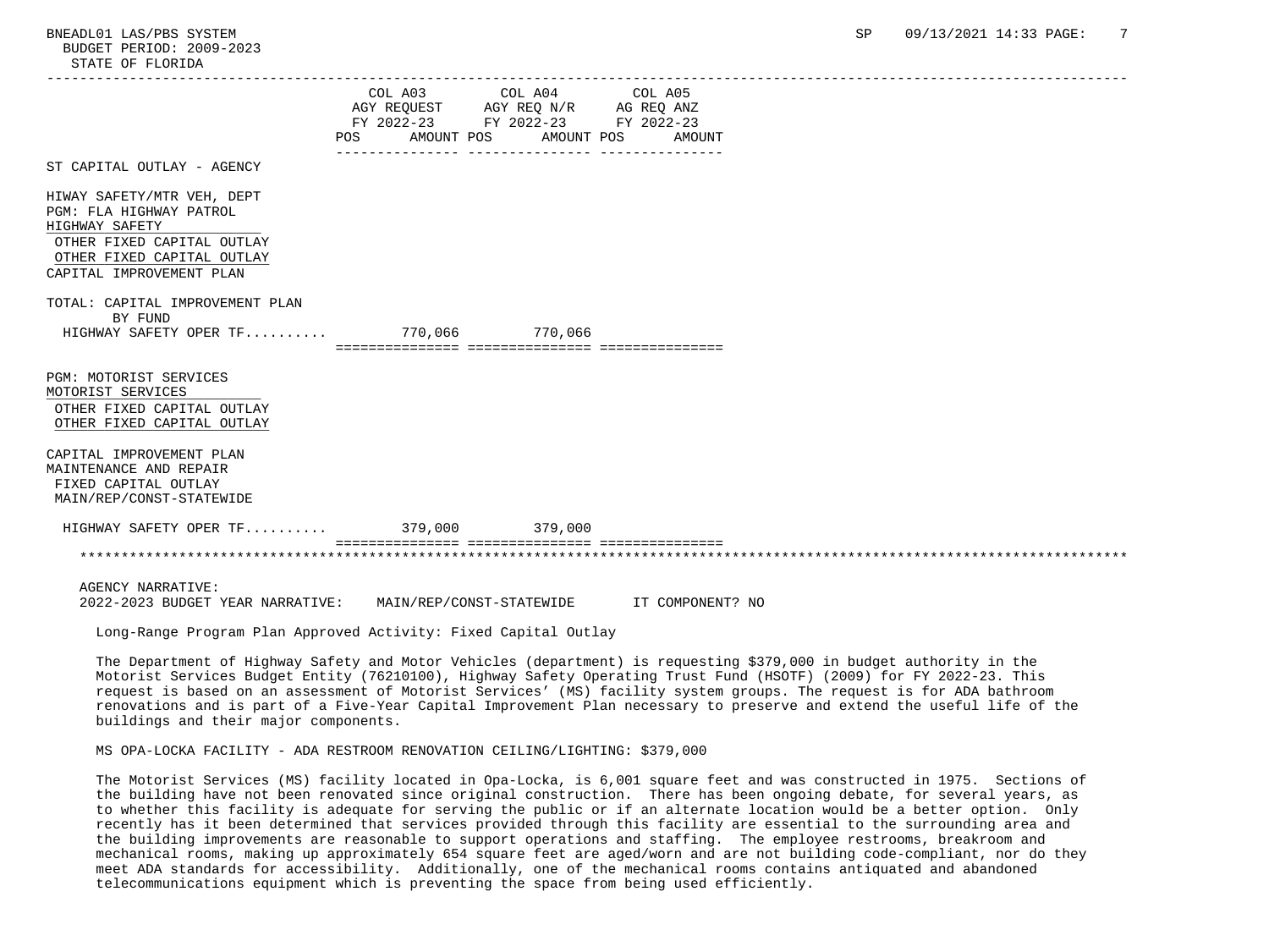BUDGET PERIOD: 2009-2023 STATE OF FLORIDA

|                                                                 |                                  | COL A03 COL A04 COL A05            |                                           |  |
|-----------------------------------------------------------------|----------------------------------|------------------------------------|-------------------------------------------|--|
|                                                                 |                                  | AGY REQUEST AGY REQ N/R AG REQ ANZ |                                           |  |
|                                                                 |                                  | FY 2022-23 FY 2022-23 FY 2022-23   |                                           |  |
|                                                                 | POS AMOUNT POS AMOUNT POS AMOUNT |                                    |                                           |  |
|                                                                 |                                  |                                    |                                           |  |
| ST CAPITAL OUTLAY - AGENCY                                      |                                  |                                    |                                           |  |
| HIWAY SAFETY/MTR VEH, DEPT                                      |                                  |                                    |                                           |  |
| PGM: FLA HIGHWAY PATROL                                         |                                  |                                    |                                           |  |
| HIGHWAY SAFETY                                                  |                                  |                                    |                                           |  |
|                                                                 |                                  |                                    |                                           |  |
| OTHER FIXED CAPITAL OUTLAY                                      |                                  |                                    |                                           |  |
| OTHER FIXED CAPITAL OUTLAY                                      |                                  |                                    |                                           |  |
| CAPITAL IMPROVEMENT PLAN                                        |                                  |                                    |                                           |  |
|                                                                 |                                  |                                    |                                           |  |
| TOTAL: CAPITAL IMPROVEMENT PLAN                                 |                                  |                                    |                                           |  |
| BY FUND                                                         |                                  |                                    |                                           |  |
| HIGHWAY SAFETY OPER TF 770,066 770,066                          |                                  |                                    |                                           |  |
|                                                                 |                                  |                                    |                                           |  |
|                                                                 |                                  |                                    |                                           |  |
| PGM: MOTORIST SERVICES                                          |                                  |                                    |                                           |  |
| MOTORIST SERVICES                                               |                                  |                                    |                                           |  |
| OTHER FIXED CAPITAL OUTLAY                                      |                                  |                                    |                                           |  |
| OTHER FIXED CAPITAL OUTLAY                                      |                                  |                                    |                                           |  |
|                                                                 |                                  |                                    |                                           |  |
| CAPITAL IMPROVEMENT PLAN                                        |                                  |                                    |                                           |  |
| MAINTENANCE AND REPAIR                                          |                                  |                                    |                                           |  |
| FIXED CAPITAL OUTLAY                                            |                                  |                                    |                                           |  |
| MAIN/REP/CONST-STATEWIDE                                        |                                  |                                    |                                           |  |
|                                                                 |                                  |                                    |                                           |  |
| HIGHWAY SAFETY OPER TF 379,000 379,000                          |                                  |                                    |                                           |  |
|                                                                 |                                  |                                    |                                           |  |
| <b>AGENCY NARRATIVE:</b>                                        |                                  |                                    |                                           |  |
|                                                                 |                                  |                                    |                                           |  |
| 2022-2023 BUDGET YEAR NARRATIVE:                                |                                  |                                    | MAIN/REP/CONST-STATEWIDE TT COMPONENT? NO |  |
| Long-Range Program Plan Approved Activity: Fixed Capital Outlay |                                  |                                    |                                           |  |

 The Department of Highway Safety and Motor Vehicles (department) is requesting \$379,000 in budget authority in the Motorist Services Budget Entity (76210100), Highway Safety Operating Trust Fund (HSOTF) (2009) for FY 2022-23. This request is based on an assessment of Motorist Services' (MS) facility system groups. The request is for ADA bathroom renovations and is part of a Five-Year Capital Improvement Plan necessary to preserve and extend the useful life of the buildings and their major components.

MS OPA-LOCKA FACILITY - ADA RESTROOM RENOVATION CEILING/LIGHTING: \$379,000

 The Motorist Services (MS) facility located in Opa-Locka, is 6,001 square feet and was constructed in 1975. Sections of the building have not been renovated since original construction. There has been ongoing debate, for several years, as to whether this facility is adequate for serving the public or if an alternate location would be a better option. Only recently has it been determined that services provided through this facility are essential to the surrounding area and the building improvements are reasonable to support operations and staffing. The employee restrooms, breakroom and mechanical rooms, making up approximately 654 square feet are aged/worn and are not building code-compliant, nor do they meet ADA standards for accessibility. Additionally, one of the mechanical rooms contains antiquated and abandoned telecommunications equipment which is preventing the space from being used efficiently.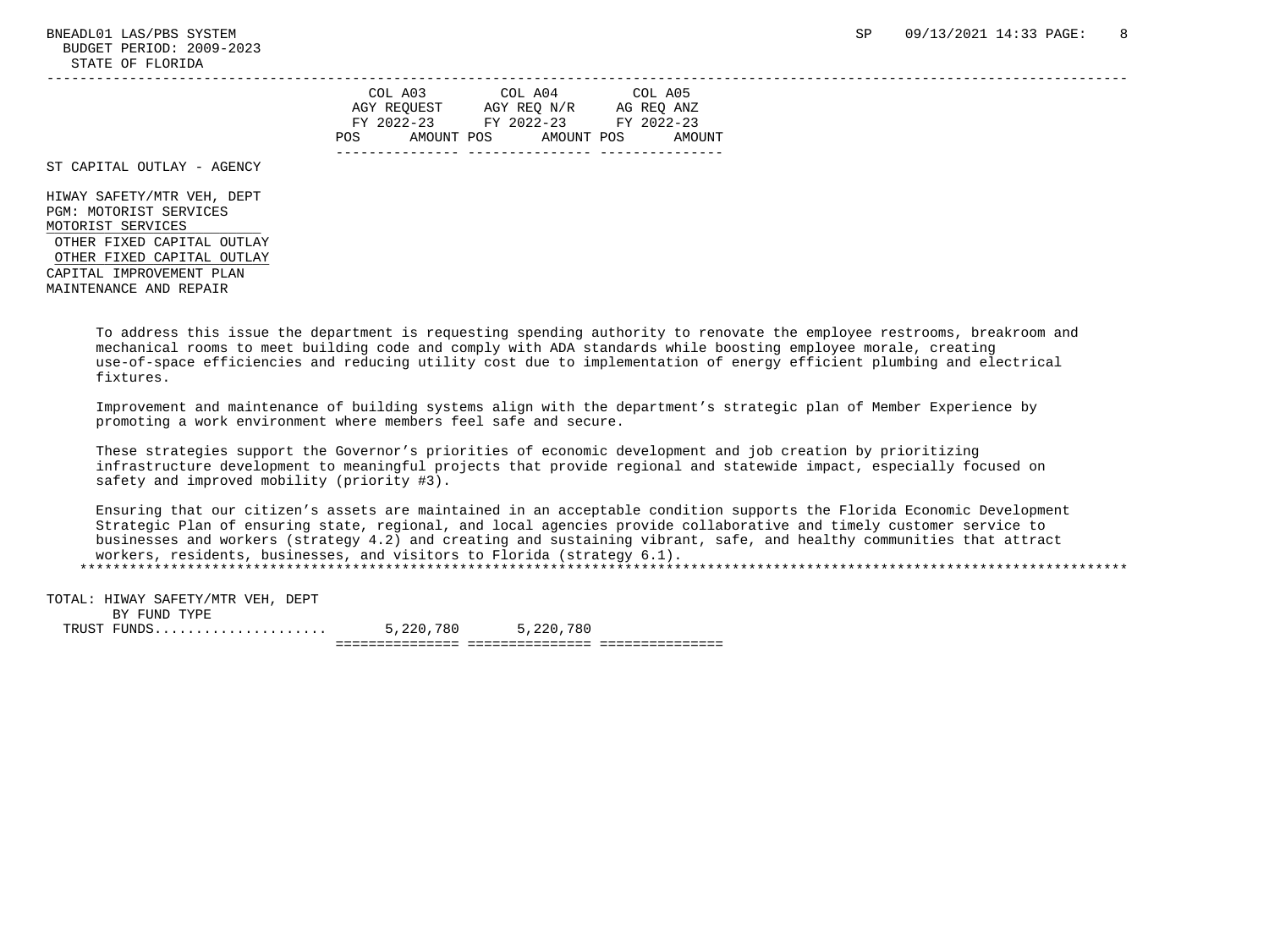BUDGET PERIOD: 2009-2023 STATE OF FLORIDA -----------------------------------------------------------------------------------------------------------------------------------

|     | COL A03     | COL A04     | COL A05    |
|-----|-------------|-------------|------------|
|     | AGY REOUEST | AGY REO N/R | AG REO ANZ |
|     | FY 2022-23  | FY 2022-23  | FY 2022-23 |
| POS | AMOUNT POS  | AMOUNT POS  | AMOUNT     |
|     |             |             |            |

ST CAPITAL OUTLAY - AGENCY

 HIWAY SAFETY/MTR VEH, DEPT PGM: MOTORIST SERVICES MOTORIST SERVICES OTHER FIXED CAPITAL OUTLAY OTHER FIXED CAPITAL OUTLAY CAPITAL IMPROVEMENT PLAN MAINTENANCE AND REPAIR

> To address this issue the department is requesting spending authority to renovate the employee restrooms, breakroom and mechanical rooms to meet building code and comply with ADA standards while boosting employee morale, creating use-of-space efficiencies and reducing utility cost due to implementation of energy efficient plumbing and electrical fixtures.

 Improvement and maintenance of building systems align with the department's strategic plan of Member Experience by promoting a work environment where members feel safe and secure.

 These strategies support the Governor's priorities of economic development and job creation by prioritizing infrastructure development to meaningful projects that provide regional and statewide impact, especially focused on safety and improved mobility (priority #3).

 Ensuring that our citizen's assets are maintained in an acceptable condition supports the Florida Economic Development Strategic Plan of ensuring state, regional, and local agencies provide collaborative and timely customer service to businesses and workers (strategy 4.2) and creating and sustaining vibrant, safe, and healthy communities that attract workers, residents, businesses, and visitors to Florida (strategy 6.1). \*\*\*\*\*\*\*\*\*\*\*\*\*\*\*\*\*\*\*\*\*\*\*\*\*\*\*\*\*\*\*\*\*\*\*\*\*\*\*\*\*\*\*\*\*\*\*\*\*\*\*\*\*\*\*\*\*\*\*\*\*\*\*\*\*\*\*\*\*\*\*\*\*\*\*\*\*\*\*\*\*\*\*\*\*\*\*\*\*\*\*\*\*\*\*\*\*\*\*\*\*\*\*\*\*\*\*\*\*\*\*\*\*\*\*\*\*\*\*\*\*\*\*\*\*\*\*

 TOTAL: HIWAY SAFETY/MTR VEH, DEPT BY FUND TYPE TRUST FUNDS..................... 5,220,780 5,220,780 =============== =============== ===============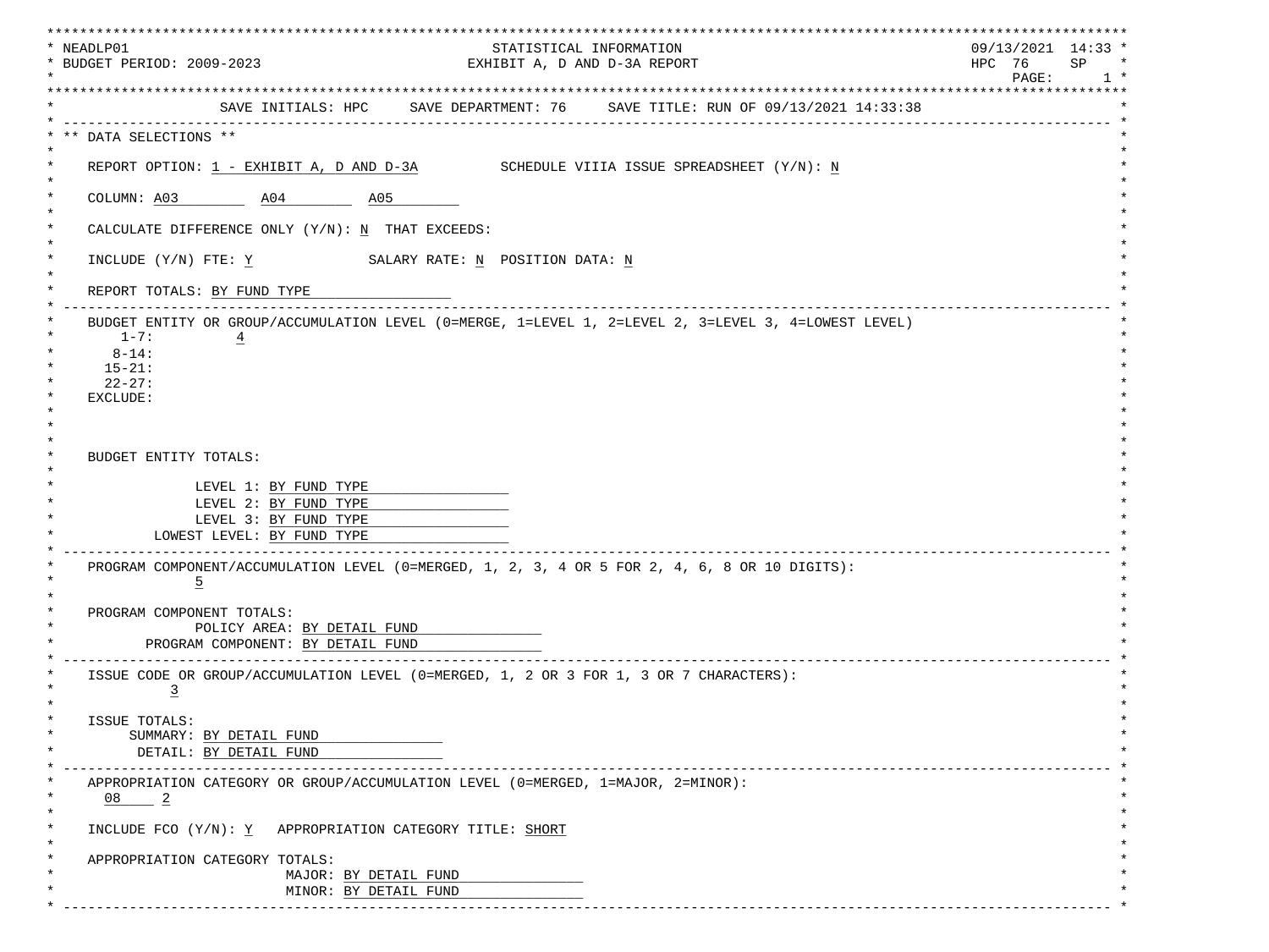| * NEADLP01                                                                                    |  | STATISTICAL INFORMATION<br>EXHIBIT A, D AND D-3A REPORT                                              |                         |  |  |  |
|-----------------------------------------------------------------------------------------------|--|------------------------------------------------------------------------------------------------------|-------------------------|--|--|--|
| * BUDGET PERIOD: 2009-2023                                                                    |  |                                                                                                      |                         |  |  |  |
| **********************************                                                            |  | SAVE INITIALS: HPC SAVE DEPARTMENT: 76 SAVE TITLE: RUN OF 09/13/2021 14:33:38                        | *********************** |  |  |  |
|                                                                                               |  |                                                                                                      |                         |  |  |  |
| ** DATA SELECTIONS **                                                                         |  |                                                                                                      |                         |  |  |  |
| REPORT OPTION: $1$ - EXHIBIT A, D AND D-3A SCHEDULE VIIIA ISSUE SPREADSHEET $(Y/N): N$        |  |                                                                                                      |                         |  |  |  |
| COLUMN: A03 A04 A05                                                                           |  |                                                                                                      |                         |  |  |  |
| CALCULATE DIFFERENCE ONLY (Y/N): N THAT EXCEEDS:                                              |  |                                                                                                      |                         |  |  |  |
| INCLUDE $(Y/N)$ FTE: Y SALARY RATE: N POSITION DATA: N                                        |  |                                                                                                      |                         |  |  |  |
| REPORT TOTALS: BY FUND TYPE                                                                   |  |                                                                                                      |                         |  |  |  |
|                                                                                               |  | BUDGET ENTITY OR GROUP/ACCUMULATION LEVEL (0=MERGE, 1=LEVEL 1, 2=LEVEL 2, 3=LEVEL 3, 4=LOWEST LEVEL) |                         |  |  |  |
| $1 - 7:$<br>$\overline{4}$<br>$8 - 14:$                                                       |  |                                                                                                      |                         |  |  |  |
| $15 - 21:$                                                                                    |  |                                                                                                      |                         |  |  |  |
| $22 - 27:$                                                                                    |  |                                                                                                      |                         |  |  |  |
| EXCLUDE:                                                                                      |  |                                                                                                      |                         |  |  |  |
|                                                                                               |  |                                                                                                      |                         |  |  |  |
| BUDGET ENTITY TOTALS:                                                                         |  |                                                                                                      |                         |  |  |  |
|                                                                                               |  |                                                                                                      |                         |  |  |  |
| LEVEL 1: BY FUND TYPE                                                                         |  |                                                                                                      |                         |  |  |  |
| LEVEL 2: BY FUND TYPE<br>LEVEL 3: BY FUND TYPE                                                |  |                                                                                                      |                         |  |  |  |
| LOWEST LEVEL: BY FUND TYPE                                                                    |  |                                                                                                      |                         |  |  |  |
| PROGRAM COMPONENT/ACCUMULATION LEVEL (0=MERGED, 1, 2, 3, 4 OR 5 FOR 2, 4, 6, 8 OR 10 DIGITS): |  |                                                                                                      |                         |  |  |  |
| $\overline{5}$                                                                                |  |                                                                                                      |                         |  |  |  |
| PROGRAM COMPONENT TOTALS:                                                                     |  |                                                                                                      |                         |  |  |  |
| POLICY AREA: BY DETAIL FUND                                                                   |  |                                                                                                      |                         |  |  |  |
| PROGRAM COMPONENT: BY DETAIL FUND                                                             |  |                                                                                                      |                         |  |  |  |
| ISSUE CODE OR GROUP/ACCUMULATION LEVEL (0=MERGED, 1, 2 OR 3 FOR 1, 3 OR 7 CHARACTERS):        |  |                                                                                                      |                         |  |  |  |
| $\overline{3}$                                                                                |  |                                                                                                      |                         |  |  |  |
| ISSUE TOTALS:                                                                                 |  |                                                                                                      |                         |  |  |  |
| SUMMARY: BY DETAIL FUND                                                                       |  |                                                                                                      |                         |  |  |  |
| DETAIL: BY DETAIL FUND                                                                        |  |                                                                                                      |                         |  |  |  |
| APPROPRIATION CATEGORY OR GROUP/ACCUMULATION LEVEL (0=MERGED, 1=MAJOR, 2=MINOR):              |  |                                                                                                      |                         |  |  |  |
| $08$ $2$                                                                                      |  |                                                                                                      |                         |  |  |  |
| INCLUDE FCO (Y/N): Y APPROPRIATION CATEGORY TITLE: SHORT                                      |  |                                                                                                      |                         |  |  |  |
|                                                                                               |  |                                                                                                      |                         |  |  |  |
| APPROPRIATION CATEGORY TOTALS:                                                                |  |                                                                                                      |                         |  |  |  |
| MAJOR: BY DETAIL FUND                                                                         |  |                                                                                                      |                         |  |  |  |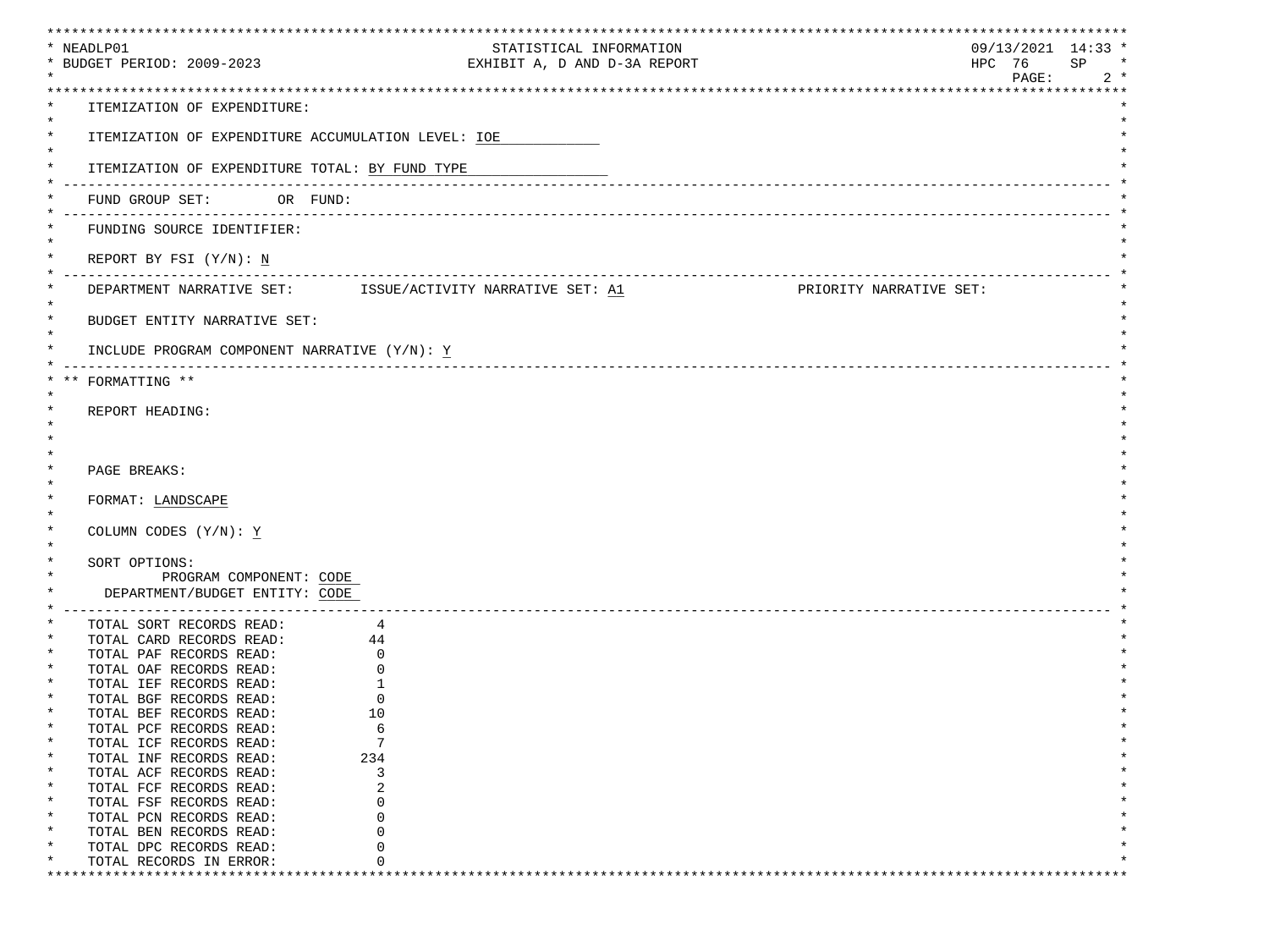| * NEADLP01                                                           |                                                            | STATISTICAL INFORMATION             | $09/13/2021$ 14:33 *    |
|----------------------------------------------------------------------|------------------------------------------------------------|-------------------------------------|-------------------------|
| * BUDGET PERIOD: 2009-2023                                           |                                                            | EXHIBIT A, D AND D-3A REPORT        | HPC 76<br>SP<br>$\star$ |
|                                                                      |                                                            |                                     | PAGE:<br>$2 *$          |
|                                                                      |                                                            |                                     |                         |
| ITEMIZATION OF EXPENDITURE:                                          |                                                            |                                     |                         |
| $\star$                                                              |                                                            |                                     |                         |
| $^\star$                                                             | ITEMIZATION OF EXPENDITURE ACCUMULATION LEVEL: IOE         |                                     |                         |
| $\ast$                                                               |                                                            |                                     |                         |
| $\ast$                                                               | ITEMIZATION OF EXPENDITURE TOTAL: BY FUND TYPE             |                                     |                         |
|                                                                      |                                                            |                                     |                         |
| FUND GROUP SET: OR FUND:                                             |                                                            |                                     |                         |
|                                                                      |                                                            |                                     |                         |
| FUNDING SOURCE IDENTIFIER:                                           |                                                            |                                     |                         |
|                                                                      |                                                            |                                     |                         |
| REPORT BY FSI $(Y/N): N$                                             |                                                            |                                     |                         |
|                                                                      |                                                            | ___________________________________ |                         |
|                                                                      | DEPARTMENT NARRATIVE SET: ISSUE/ACTIVITY NARRATIVE SET: A1 |                                     | PRIORITY NARRATIVE SET: |
|                                                                      |                                                            |                                     |                         |
| $^\star$<br>BUDGET ENTITY NARRATIVE SET:<br>$\star$                  |                                                            |                                     |                         |
|                                                                      |                                                            |                                     |                         |
|                                                                      | INCLUDE PROGRAM COMPONENT NARRATIVE (Y/N): Y               |                                     |                         |
| FORMATTING **                                                        |                                                            |                                     |                         |
|                                                                      |                                                            |                                     |                         |
| REPORT HEADING:                                                      |                                                            |                                     |                         |
|                                                                      |                                                            |                                     |                         |
|                                                                      |                                                            |                                     |                         |
|                                                                      |                                                            |                                     |                         |
| PAGE BREAKS:                                                         |                                                            |                                     |                         |
| $\star$                                                              |                                                            |                                     |                         |
| $^\star$<br>FORMAT: LANDSCAPE                                        |                                                            |                                     |                         |
|                                                                      |                                                            |                                     |                         |
| $\ast$<br>COLUMN CODES $(Y/N): Y$                                    |                                                            |                                     |                         |
|                                                                      |                                                            |                                     |                         |
| $\ast$<br>SORT OPTIONS:                                              |                                                            |                                     |                         |
| PROGRAM COMPONENT: CODE                                              |                                                            |                                     |                         |
| DEPARTMENT/BUDGET ENTITY: CODE                                       |                                                            |                                     |                         |
| ______________________________                                       |                                                            |                                     |                         |
| TOTAL SORT RECORDS READ:                                             | 4                                                          |                                     |                         |
| TOTAL SORT RECORDS READ: 4<br>TOTAL CARD RECORDS READ: 44<br>$\star$ |                                                            |                                     |                         |
| TOTAL PAF RECORDS READ:                                              | 0                                                          |                                     |                         |
| $\ast$<br>TOTAL OAF RECORDS READ:                                    | $\Omega$                                                   |                                     |                         |
| TOTAL IEF RECORDS READ:                                              |                                                            |                                     |                         |
| TOTAL BGF RECORDS READ:                                              | 0                                                          |                                     |                         |
| TOTAL BEF RECORDS READ:                                              | 10                                                         |                                     |                         |
| *<br>TOTAL PCF RECORDS READ:                                         | 6                                                          |                                     |                         |
| TOTAL ICF RECORDS READ:                                              | 7                                                          |                                     |                         |
| $\ast$<br>TOTAL INF RECORDS READ:                                    | 234                                                        |                                     |                         |
| TOTAL ACF RECORDS READ:                                              | 3                                                          |                                     |                         |
| $\ast$<br>TOTAL FCF RECORDS READ:                                    | 2                                                          |                                     |                         |
| $^\star$<br>TOTAL FSF RECORDS READ:                                  | 0                                                          |                                     |                         |
| $\ast$<br>TOTAL PCN RECORDS READ:                                    | $\Omega$                                                   |                                     |                         |
| $\ast$<br>TOTAL BEN RECORDS READ:                                    | ∩                                                          |                                     |                         |
| TOTAL DPC RECORDS READ:<br>TOTAL RECORDS IN ERROR:<br>$\ast$         | O                                                          |                                     |                         |
|                                                                      |                                                            |                                     |                         |
|                                                                      |                                                            |                                     |                         |